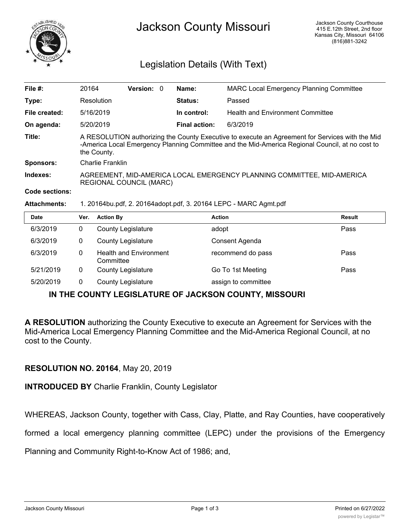

## Legislation Details (With Text)

| File $#$ :       | 20164                                                                                                                                                                                                             | Version: 0 |  | Name:                | <b>MARC Local Emergency Planning Committee</b> |  |  |
|------------------|-------------------------------------------------------------------------------------------------------------------------------------------------------------------------------------------------------------------|------------|--|----------------------|------------------------------------------------|--|--|
| Type:            | Resolution                                                                                                                                                                                                        |            |  | <b>Status:</b>       | Passed                                         |  |  |
| File created:    | 5/16/2019                                                                                                                                                                                                         |            |  | In control:          | <b>Health and Environment Committee</b>        |  |  |
| On agenda:       | 5/20/2019                                                                                                                                                                                                         |            |  | <b>Final action:</b> | 6/3/2019                                       |  |  |
| Title:           | A RESOLUTION authorizing the County Executive to execute an Agreement for Services with the Mid<br>-America Local Emergency Planning Committee and the Mid-America Regional Council, at no cost to<br>the County. |            |  |                      |                                                |  |  |
| <b>Sponsors:</b> | Charlie Franklin                                                                                                                                                                                                  |            |  |                      |                                                |  |  |
| Indexes:         | AGREEMENT, MID-AMERICA LOCAL EMERGENCY PLANNING COMMITTEE, MID-AMERICA<br><b>REGIONAL COUNCIL (MARC)</b>                                                                                                          |            |  |                      |                                                |  |  |
| Code sections:   |                                                                                                                                                                                                                   |            |  |                      |                                                |  |  |

## **Attachments:** 1. 20164bu.pdf, 2. 20164adopt.pdf, 3. 20164 LEPC - MARC Agmt.pdf

| <b>Date</b> | Ver. | <b>Action By</b>                           | <b>Action</b>       | <b>Result</b> |
|-------------|------|--------------------------------------------|---------------------|---------------|
| 6/3/2019    | 0    | <b>County Legislature</b>                  | adopt               | Pass          |
| 6/3/2019    | 0    | <b>County Legislature</b>                  | Consent Agenda      |               |
| 6/3/2019    | 0    | <b>Health and Environment</b><br>Committee | recommend do pass   | Pass          |
| 5/21/2019   | 0    | <b>County Legislature</b>                  | Go To 1st Meeting   | Pass          |
| 5/20/2019   | 0    | <b>County Legislature</b>                  | assign to committee |               |

## **IN THE COUNTY LEGISLATURE OF JACKSON COUNTY, MISSOURI**

**A RESOLUTION** authorizing the County Executive to execute an Agreement for Services with the Mid-America Local Emergency Planning Committee and the Mid-America Regional Council, at no cost to the County.

## **RESOLUTION NO. 20164**, May 20, 2019

**INTRODUCED BY** Charlie Franklin, County Legislator

WHEREAS, Jackson County, together with Cass, Clay, Platte, and Ray Counties, have cooperatively

formed a local emergency planning committee (LEPC) under the provisions of the Emergency

Planning and Community Right-to-Know Act of 1986; and,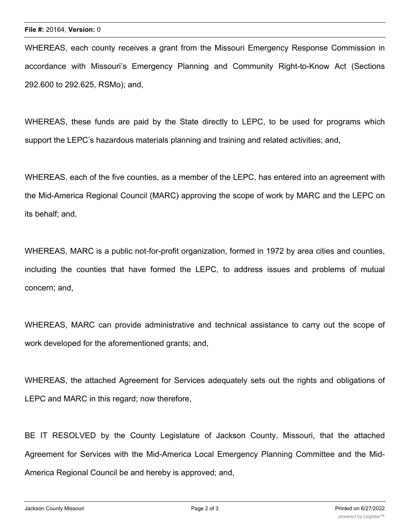WHEREAS, each county receives a grant from the Missouri Emergency Response Commission in accordance with Missouri's Emergency Planning and Community Right-to-Know Act (Sections 292.600 to 292.625, RSMo); and,

WHEREAS, these funds are paid by the State directly to LEPC, to be used for programs which support the LEPC's hazardous materials planning and training and related activities; and,

WHEREAS, each of the five counties, as a member of the LEPC, has entered into an agreement with the Mid-America Regional Council (MARC) approving the scope of work by MARC and the LEPC on its behalf; and,

WHEREAS, MARC is a public not-for-profit organization, formed in 1972 by area cities and counties, including the counties that have formed the LEPC, to address issues and problems of mutual concern; and,

WHEREAS, MARC can provide administrative and technical assistance to carry out the scope of work developed for the aforementioned grants; and,

WHEREAS, the attached Agreement for Services adequately sets out the rights and obligations of LEPC and MARC in this regard; now therefore,

BE IT RESOLVED by the County Legislature of Jackson County, Missouri, that the attached Agreement for Services with the Mid-America Local Emergency Planning Committee and the Mid-America Regional Council be and hereby is approved; and,